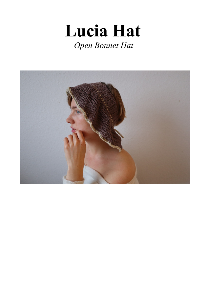# Lucia Hat Open Bonnet Hat

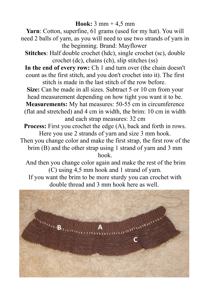### **Hook:** 3 mm + 4,5 mm

**Yarn**: Cotton, superfine, 61 grams (used for my hat). You will need 2 balls of yarn, as you will need to use two strands of yarn in the beginning. Brand: Mayflower

**Stitches**: Half double crochet (hdc), single crochet (sc), double crochet (dc), chains (ch), slip stitches (ss)

**In the end of every row:** Ch 1 and turn over (the chain doesn't count as the first stitch, and you don't crochet into it). The first stitch is made in the last stitch of the row before.

**Size:** Can be made in all sizes. Subtract 5 or 10 cm from your head measurement depending on how tight you want it to be.

**Measurements:** My hat measures: 50-55 cm in circumference (flat and stretched) and 4 cm in width, the brim: 10 cm in width and each strap measures: 32 cm

**Process:** First you crochet the edge (A), back and forth in rows. Here you use 2 strands of yarn and size 3 mm hook.

Then you change color and make the first strap, the first row of the brim (B) and the other strap using 1 strand of yarn and 3 mm hook.

 And then you change color again and make the rest of the brim (C) using 4,5 mm hook and 1 strand of yarn.

If you want the brim to be more sturdy you can crochet with double thread and 3 mm hook here as well.

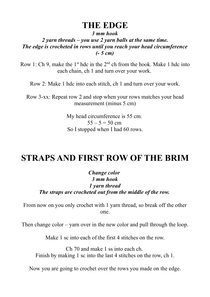### **THE EDGE**

*3 mm hook*

*2 yarn threads – you use 2 yarn balls at the same time. The edge is crocheted in rows until you reach your head circumference (- 5 cm)*

Row 1: Ch 9, make the  $1<sup>st</sup>$  hdc in the  $2<sup>nd</sup>$  ch from the hook. Make 1 hdc into each chain, ch 1 and turn over your work.

Row 2: Make 1 hdc into each stitch, ch 1 and turn over your work.

Row 3-xx: Repeat row 2 and stop when your rows matches your head measurement (minus 5 cm)

> My head circumference is 55 cm.  $55 - 5 = 50$  cm So I stopped when I had 60 rows.

# **STRAPS AND FIRST ROW OF THE BRIM**

*Change color 3 mm hook 1 yarn thread The straps are crocheted out from the middle of the row.* 

From now on you only crochet with 1 yarn thread, so break off the other one.

Then change color – yarn over in the new color and pull through the loop.

Make 1 sc into each of the first 4 stitches on the row.

Ch 70 and make 1 ss into each ch. Finish by making 1 sc into the last 4 stitches on the row, ch 1.

Now you are going to crochet over the rows you made on the edge.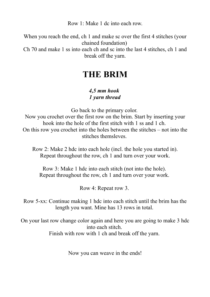Row 1: Make 1 dc into each row.

When you reach the end, ch 1 and make sc over the first 4 stitches (your chained foundation) Ch 70 and make 1 ss into each ch and sc into the last 4 stitches, ch 1 and break off the yarn.

## **THE BRIM**

#### *4,5 mm hook 1 yarn thread*

Go back to the primary color.

Now you crochet over the first row on the brim. Start by inserting your hook into the hole of the first stitch with 1 ss and 1 ch. On this row you crochet into the holes between the stitches – not into the stitches themsleves.

Row 2: Make 2 hdc into each hole (incl. the hole you started in). Repeat throughout the row, ch 1 and turn over your work.

Row 3: Make 1 hdc into each stitch (not into the hole). Repeat throughout the row, ch 1 and turn over your work.

Row 4: Repeat row 3.

Row 5-xx: Continue making 1 hdc into each stitch until the brim has the length you want. Mine has 13 rows in total.

On your last row change color again and here you are going to make 3 hdc into each stitch. Finish with row with 1 ch and break off the yarn.

Now you can weave in the ends!